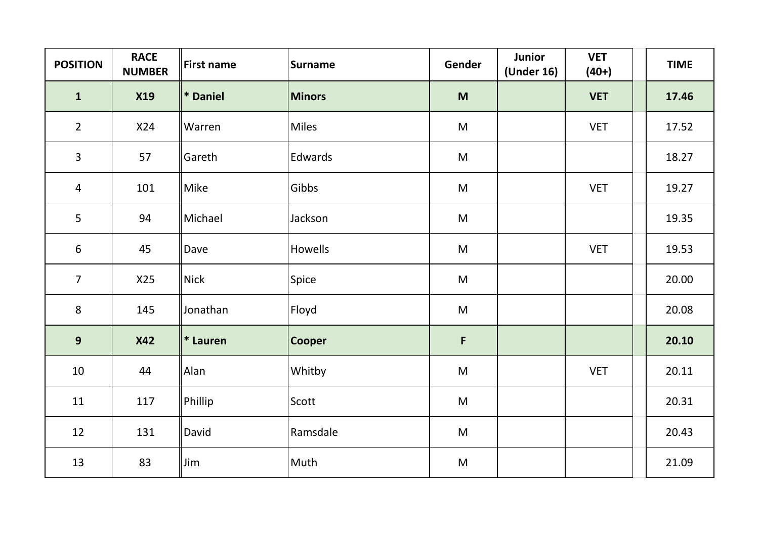| <b>POSITION</b> | <b>RACE</b><br><b>NUMBER</b> | <b>First name</b> | <b>Surname</b> | Gender                                                                                                     | Junior<br>(Under 16) | <b>VET</b><br>$(40+)$ | <b>TIME</b> |
|-----------------|------------------------------|-------------------|----------------|------------------------------------------------------------------------------------------------------------|----------------------|-----------------------|-------------|
| $\mathbf{1}$    | <b>X19</b>                   | <b>*</b> Daniel   | Minors         | M                                                                                                          |                      | <b>VET</b>            | 17.46       |
| $2^{\circ}$     | X24                          | Warren            | <b>Miles</b>   | M                                                                                                          |                      | <b>VET</b>            | 17.52       |
| $\overline{3}$  | 57                           | Gareth            | Edwards        | M                                                                                                          |                      |                       | 18.27       |
| 4               | 101                          | Mike              | Gibbs          | ${\sf M}$                                                                                                  |                      | <b>VET</b>            | 19.27       |
| 5               | 94                           | Michael           | Jackson        | ${\sf M}$                                                                                                  |                      |                       | 19.35       |
| 6               | 45                           | Dave              | Howells        | M                                                                                                          |                      | <b>VET</b>            | 19.53       |
| $\overline{7}$  | X25                          | <b>Nick</b>       | Spice          | ${\sf M}$                                                                                                  |                      |                       | 20.00       |
| 8               | 145                          | Jonathan          | Floyd          | $\mathsf{M}% _{T}=\mathsf{M}_{T}\!\left( a,b\right) ,\ \mathsf{M}_{T}=\mathsf{M}_{T}\!\left( a,b\right) ,$ |                      |                       | 20.08       |
| 9               | <b>X42</b>                   | $\vert$ * Lauren  | <b>Cooper</b>  | $\mathsf F$                                                                                                |                      |                       | 20.10       |
| 10              | 44                           | Alan              | Whitby         | ${\sf M}$                                                                                                  |                      | <b>VET</b>            | 20.11       |
| 11              | 117                          | Phillip           | Scott          | $\mathsf{M}% _{T}=\mathsf{M}_{T}\!\left( a,b\right) ,\ \mathsf{M}_{T}=\mathsf{M}_{T}\!\left( a,b\right) ,$ |                      |                       | 20.31       |
| 12              | 131                          | David             | Ramsdale       | ${\sf M}$                                                                                                  |                      |                       | 20.43       |
| 13              | 83                           | Jim               | Muth           | ${\sf M}$                                                                                                  |                      |                       | 21.09       |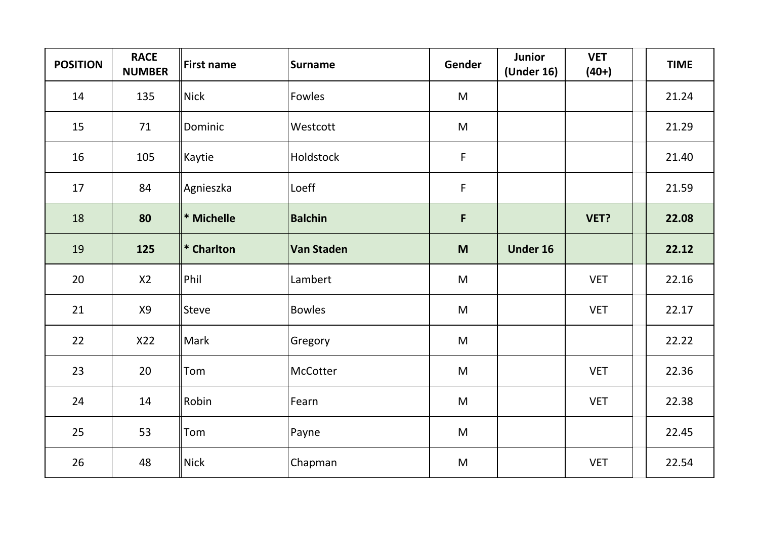| <b>POSITION</b> | <b>RACE</b><br><b>NUMBER</b> | <b>First name</b> | <b>Surname</b> | Gender                                                                                                     | <b>Junior</b><br>(Under 16) | <b>VET</b><br>$(40+)$ | <b>TIME</b> |
|-----------------|------------------------------|-------------------|----------------|------------------------------------------------------------------------------------------------------------|-----------------------------|-----------------------|-------------|
| 14              | 135                          | <b>Nick</b>       | Fowles         | M                                                                                                          |                             |                       | 21.24       |
| 15              | 71                           | Dominic           | Westcott       | M                                                                                                          |                             |                       | 21.29       |
| 16              | 105                          | Kaytie            | Holdstock      | $\mathsf F$                                                                                                |                             |                       | 21.40       |
| 17              | 84                           | Agnieszka         | Loeff          | $\mathsf F$                                                                                                |                             |                       | 21.59       |
| 18              | 80                           | * Michelle        | <b>Balchin</b> | $\mathsf F$                                                                                                |                             | VET?                  | 22.08       |
| 19              | 125                          | * Charlton        | Van Staden     | M                                                                                                          | <b>Under 16</b>             |                       | 22.12       |
| 20              | X2                           | Phil              | Lambert        | M                                                                                                          |                             | <b>VET</b>            | 22.16       |
| 21              | X9                           | Steve             | <b>Bowles</b>  | M                                                                                                          |                             | <b>VET</b>            | 22.17       |
| 22              | X22                          | Mark              | Gregory        | M                                                                                                          |                             |                       | 22.22       |
| 23              | 20                           | Tom               | McCotter       | $\mathsf{M}% _{T}=\mathsf{M}_{T}\!\left( a,b\right) ,\ \mathsf{M}_{T}=\mathsf{M}_{T}\!\left( a,b\right) ,$ |                             | <b>VET</b>            | 22.36       |
| 24              | 14                           | Robin             | Fearn          | M                                                                                                          |                             | <b>VET</b>            | 22.38       |
| 25              | 53                           | Tom               | Payne          | M                                                                                                          |                             |                       | 22.45       |
| 26              | 48                           | <b>Nick</b>       | Chapman        | M                                                                                                          |                             | <b>VET</b>            | 22.54       |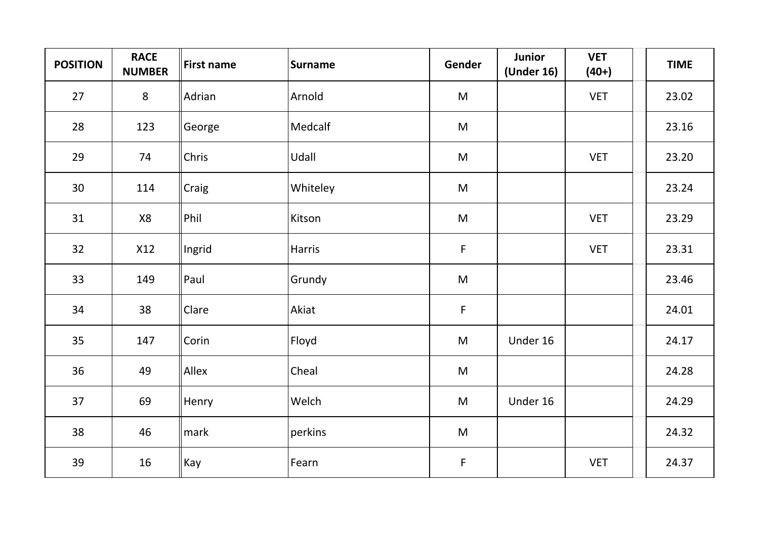| <b>POSITION</b> | <b>RACE</b><br><b>NUMBER</b> | <b>First name</b> | <b>Surname</b> | Gender       | Junior<br>(Under 16) | <b>VET</b><br>$(40+)$ | <b>TIME</b> |
|-----------------|------------------------------|-------------------|----------------|--------------|----------------------|-----------------------|-------------|
| 27              | $8\phantom{1}$               | Adrian            | Arnold         | M            |                      | <b>VET</b>            | 23.02       |
| 28              | 123                          | George            | Medcalf        | ${\sf M}$    |                      |                       | 23.16       |
| 29              | 74                           | Chris             | Udall          | ${\sf M}$    |                      | <b>VET</b>            | 23.20       |
| 30              | 114                          | Craig             | Whiteley       | ${\sf M}$    |                      |                       | 23.24       |
| 31              | X8                           | Phil              | Kitson         | M            |                      | <b>VET</b>            | 23.29       |
| 32              | X12                          | Ingrid            | Harris         | $\mathsf{F}$ |                      | <b>VET</b>            | 23.31       |
| 33              | 149                          | Paul              | Grundy         | ${\sf M}$    |                      |                       | 23.46       |
| 34              | 38                           | Clare             | Akiat          | $\mathsf F$  |                      |                       | 24.01       |
| 35              | 147                          | Corin             | Floyd          | M            | Under 16             |                       | 24.17       |
| 36              | 49                           | Allex             | Cheal          | ${\sf M}$    |                      |                       | 24.28       |
| 37              | 69                           | Henry             | Welch          | M            | Under 16             |                       | 24.29       |
| 38              | 46                           | mark              | perkins        | ${\sf M}$    |                      |                       | 24.32       |
| 39              | 16                           | Kay               | Fearn          | $\mathsf F$  |                      | <b>VET</b>            | 24.37       |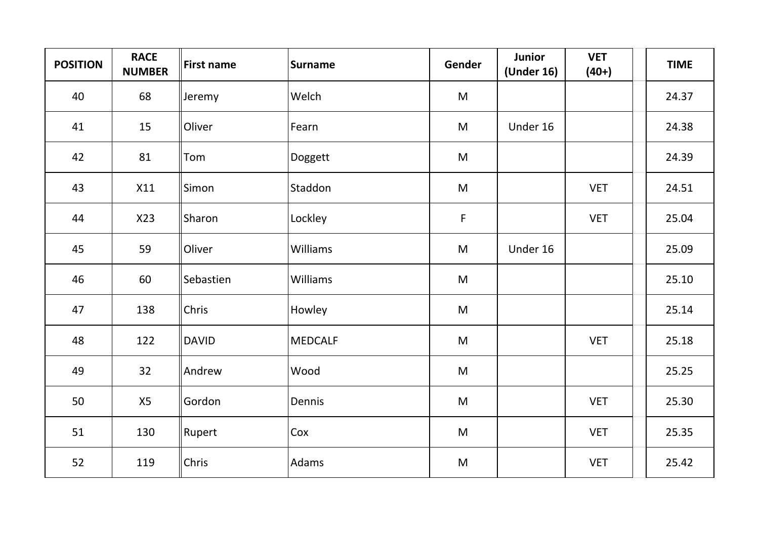| <b>POSITION</b> | <b>RACE</b><br><b>NUMBER</b> | <b>First name</b> | <b>Surname</b> | Gender                                                                                                     | <b>Junior</b><br>(Under 16) | <b>VET</b><br>$(40+)$ | <b>TIME</b> |
|-----------------|------------------------------|-------------------|----------------|------------------------------------------------------------------------------------------------------------|-----------------------------|-----------------------|-------------|
| 40              | 68                           | Jeremy            | Welch          | M                                                                                                          |                             |                       | 24.37       |
| 41              | 15                           | Oliver            | Fearn          | M                                                                                                          | Under 16                    |                       | 24.38       |
| 42              | 81                           | Tom               | Doggett        | M                                                                                                          |                             |                       | 24.39       |
| 43              | X11                          | Simon             | Staddon        | $\mathsf{M}% _{T}=\mathsf{M}_{T}\!\left( a,b\right) ,\ \mathsf{M}_{T}=\mathsf{M}_{T}\!\left( a,b\right) ,$ |                             | <b>VET</b>            | 24.51       |
| 44              | X23                          | Sharon            | Lockley        | $\mathsf F$                                                                                                |                             | <b>VET</b>            | 25.04       |
| 45              | 59                           | Oliver            | Williams       | M                                                                                                          | Under 16                    |                       | 25.09       |
| 46              | 60                           | Sebastien         | Williams       | $\mathsf{M}% _{T}=\mathsf{M}_{T}\!\left( a,b\right) ,\ \mathsf{M}_{T}=\mathsf{M}_{T}\!\left( a,b\right) ,$ |                             |                       | 25.10       |
| 47              | 138                          | Chris             | Howley         | $\mathsf{M}% _{T}=\mathsf{M}_{T}\!\left( a,b\right) ,\ \mathsf{M}_{T}=\mathsf{M}_{T}\!\left( a,b\right) ,$ |                             |                       | 25.14       |
| 48              | 122                          | <b>DAVID</b>      | <b>MEDCALF</b> | M                                                                                                          |                             | <b>VET</b>            | 25.18       |
| 49              | 32                           | Andrew            | Wood           | $\mathsf{M}% _{T}=\mathsf{M}_{T}\!\left( a,b\right) ,\ \mathsf{M}_{T}=\mathsf{M}_{T}\!\left( a,b\right) ,$ |                             |                       | 25.25       |
| 50              | X5                           | Gordon            | Dennis         | M                                                                                                          |                             | <b>VET</b>            | 25.30       |
| 51              | 130                          | Rupert            | Cox            | $\mathsf{M}% _{T}=\mathsf{M}_{T}\!\left( a,b\right) ,\ \mathsf{M}_{T}=\mathsf{M}_{T}\!\left( a,b\right) ,$ |                             | <b>VET</b>            | 25.35       |
| 52              | 119                          | Chris             | Adams          | M                                                                                                          |                             | <b>VET</b>            | 25.42       |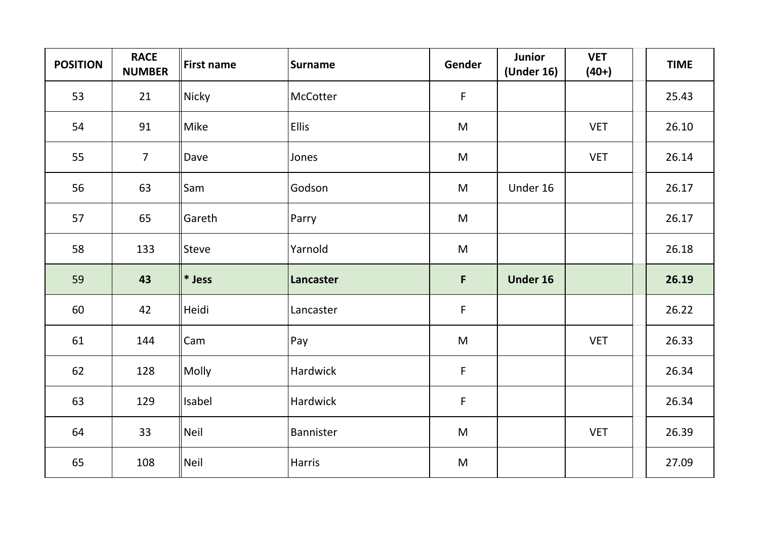| <b>POSITION</b> | <b>RACE</b><br><b>NUMBER</b> | <b>First name</b> | <b>Surname</b> | Gender                                                                                                     | Junior<br>(Under 16) | <b>VET</b><br>$(40+)$ | <b>TIME</b> |
|-----------------|------------------------------|-------------------|----------------|------------------------------------------------------------------------------------------------------------|----------------------|-----------------------|-------------|
| 53              | 21                           | Nicky             | McCotter       | $\mathsf F$                                                                                                |                      |                       | 25.43       |
| 54              | 91                           | Mike              | <b>Ellis</b>   | $\mathsf{M}% _{T}=\mathsf{M}_{T}\!\left( a,b\right) ,\ \mathsf{M}_{T}=\mathsf{M}_{T}\!\left( a,b\right) ,$ |                      | <b>VET</b>            | 26.10       |
| 55              | $\overline{7}$               | Dave              | Jones          | M                                                                                                          |                      | <b>VET</b>            | 26.14       |
| 56              | 63                           | Sam               | Godson         | M                                                                                                          | Under 16             |                       | 26.17       |
| 57              | 65                           | Gareth            | Parry          | M                                                                                                          |                      |                       | 26.17       |
| 58              | 133                          | <b>Steve</b>      | Yarnold        | $\mathsf{M}% _{T}=\mathsf{M}_{T}\!\left( a,b\right) ,\ \mathsf{M}_{T}=\mathsf{M}_{T}\!\left( a,b\right) ,$ |                      |                       | 26.18       |
| 59              | 43                           | $*$ Jess          | Lancaster      | F                                                                                                          | Under 16             |                       | 26.19       |
| 60              | 42                           | Heidi             | Lancaster      | $\mathsf F$                                                                                                |                      |                       | 26.22       |
| 61              | 144                          | Cam               | Pay            | M                                                                                                          |                      | <b>VET</b>            | 26.33       |
| 62              | 128                          | Molly             | Hardwick       | $\mathsf F$                                                                                                |                      |                       | 26.34       |
| 63              | 129                          | Isabel            | Hardwick       | $\mathsf F$                                                                                                |                      |                       | 26.34       |
| 64              | 33                           | Neil              | Bannister      | $\mathsf{M}% _{T}=\mathsf{M}_{T}\!\left( a,b\right) ,\ \mathsf{M}_{T}=\mathsf{M}_{T}\!\left( a,b\right) ,$ |                      | <b>VET</b>            | 26.39       |
| 65              | 108                          | <b>Neil</b>       | Harris         | M                                                                                                          |                      |                       | 27.09       |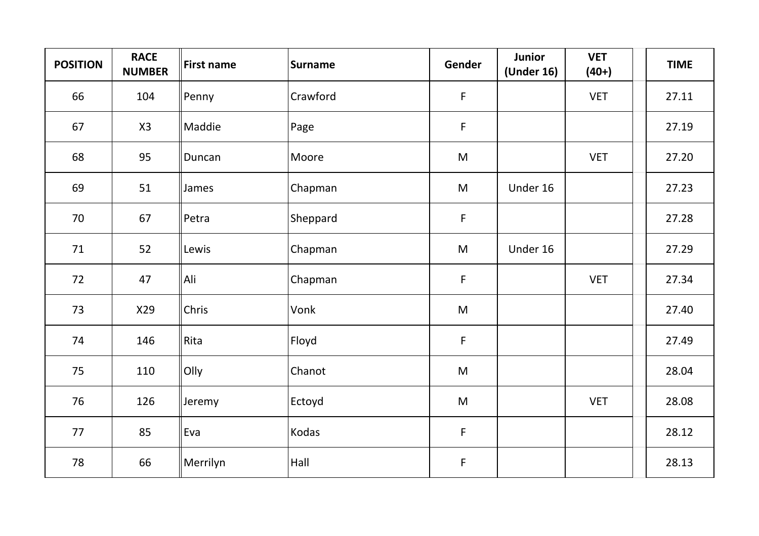| <b>POSITION</b> | <b>RACE</b><br><b>NUMBER</b> | <b>First name</b> | <b>Surname</b> | Gender       | <b>Junior</b><br>(Under 16) | <b>VET</b><br>$(40+)$ | <b>TIME</b> |
|-----------------|------------------------------|-------------------|----------------|--------------|-----------------------------|-----------------------|-------------|
| 66              | 104                          | Penny             | Crawford       | F            |                             | <b>VET</b>            | 27.11       |
| 67              | X3                           | Maddie            | Page           | $\mathsf F$  |                             |                       | 27.19       |
| 68              | 95                           | Duncan            | Moore          | ${\sf M}$    |                             | <b>VET</b>            | 27.20       |
| 69              | 51                           | James             | Chapman        | ${\sf M}$    | Under 16                    |                       | 27.23       |
| 70              | 67                           | Petra             | Sheppard       | $\mathsf F$  |                             |                       | 27.28       |
| 71              | 52                           | Lewis             | Chapman        | M            | Under 16                    |                       | 27.29       |
| 72              | 47                           | Ali               | Chapman        | F            |                             | <b>VET</b>            | 27.34       |
| 73              | X29                          | Chris             | Vonk           | M            |                             |                       | 27.40       |
| 74              | 146                          | Rita              | Floyd          | $\mathsf{F}$ |                             |                       | 27.49       |
| 75              | 110                          | Olly              | Chanot         | M            |                             |                       | 28.04       |
| 76              | 126                          | Jeremy            | Ectoyd         | ${\sf M}$    |                             | <b>VET</b>            | 28.08       |
| 77              | 85                           | Eva               | Kodas          | $\mathsf F$  |                             |                       | 28.12       |
| 78              | 66                           | Merrilyn          | Hall           | $\mathsf F$  |                             |                       | 28.13       |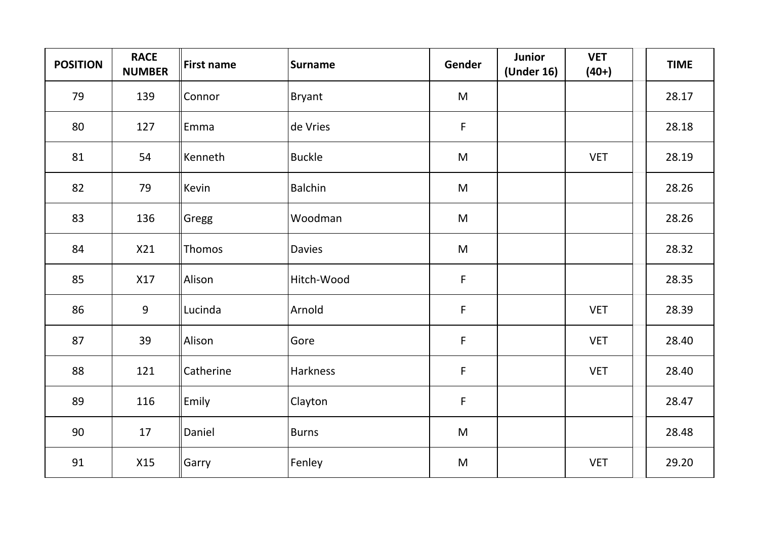| <b>POSITION</b> | <b>RACE</b><br><b>NUMBER</b> | <b>First name</b> | <b>Surname</b> | Gender                                                                                                     | Junior<br>(Under 16) | <b>VET</b><br>$(40+)$ | <b>TIME</b> |
|-----------------|------------------------------|-------------------|----------------|------------------------------------------------------------------------------------------------------------|----------------------|-----------------------|-------------|
| 79              | 139                          | Connor            | <b>Bryant</b>  | M                                                                                                          |                      |                       | 28.17       |
| 80              | 127                          | Emma              | de Vries       | $\mathsf F$                                                                                                |                      |                       | 28.18       |
| 81              | 54                           | Kenneth           | <b>Buckle</b>  | M                                                                                                          |                      | <b>VET</b>            | 28.19       |
| 82              | 79                           | Kevin             | <b>Balchin</b> | $\mathsf{M}% _{T}=\mathsf{M}_{T}\!\left( a,b\right) ,\ \mathsf{M}_{T}=\mathsf{M}_{T}\!\left( a,b\right) ,$ |                      |                       | 28.26       |
| 83              | 136                          | Gregg             | Woodman        | M                                                                                                          |                      |                       | 28.26       |
| 84              | X21                          | Thomos            | <b>Davies</b>  | M                                                                                                          |                      |                       | 28.32       |
| 85              | X17                          | Alison            | Hitch-Wood     | $\mathsf F$                                                                                                |                      |                       | 28.35       |
| 86              | 9                            | Lucinda           | Arnold         | $\mathsf F$                                                                                                |                      | <b>VET</b>            | 28.39       |
| 87              | 39                           | Alison            | Gore           | $\mathsf F$                                                                                                |                      | <b>VET</b>            | 28.40       |
| 88              | 121                          | Catherine         | Harkness       | $\mathsf F$                                                                                                |                      | <b>VET</b>            | 28.40       |
| 89              | 116                          | Emily             | Clayton        | $\mathsf F$                                                                                                |                      |                       | 28.47       |
| 90              | 17                           | Daniel            | Burns          | ${\sf M}$                                                                                                  |                      |                       | 28.48       |
| 91              | X15                          | Garry             | Fenley         | ${\sf M}$                                                                                                  |                      | <b>VET</b>            | 29.20       |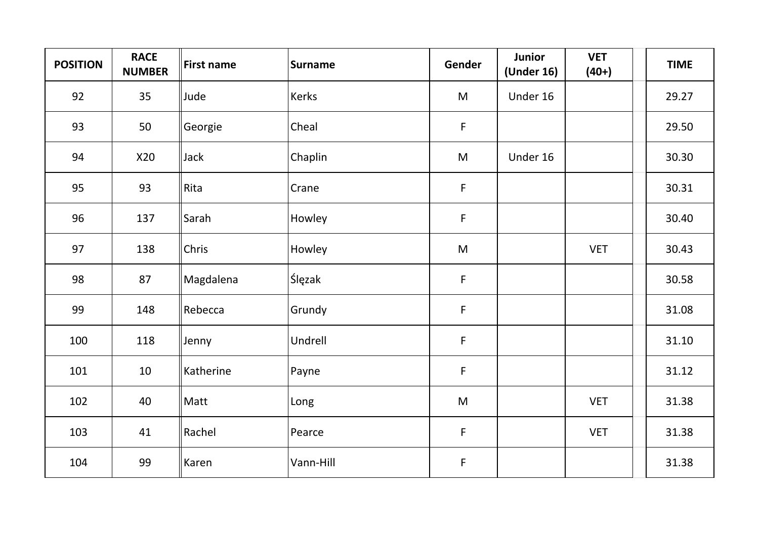| <b>POSITION</b> | <b>RACE</b><br><b>NUMBER</b> | <b>First name</b> | <b>Surname</b> | Gender      | <b>Junior</b><br>(Under 16) | <b>VET</b><br>$(40+)$ | <b>TIME</b> |
|-----------------|------------------------------|-------------------|----------------|-------------|-----------------------------|-----------------------|-------------|
| 92              | 35                           | Jude              | Kerks          | M           | Under 16                    |                       | 29.27       |
| 93              | 50                           | Georgie           | Cheal          | $\mathsf F$ |                             |                       | 29.50       |
| 94              | X20                          | Jack              | Chaplin        | ${\sf M}$   | Under 16                    |                       | 30.30       |
| 95              | 93                           | Rita              | Crane          | $\mathsf F$ |                             |                       | 30.31       |
| 96              | 137                          | Sarah             | Howley         | $\mathsf F$ |                             |                       | 30.40       |
| 97              | 138                          | Chris             | Howley         | ${\sf M}$   |                             | <b>VET</b>            | 30.43       |
| 98              | 87                           | Magdalena         | Ślęzak         | $\mathsf F$ |                             |                       | 30.58       |
| 99              | 148                          | Rebecca           | Grundy         | $\mathsf F$ |                             |                       | 31.08       |
| 100             | 118                          | Jenny             | Undrell        | F           |                             |                       | 31.10       |
| 101             | 10                           | Katherine         | Payne          | $\mathsf F$ |                             |                       | 31.12       |
| 102             | 40                           | Matt              | Long           | ${\sf M}$   |                             | <b>VET</b>            | 31.38       |
| 103             | 41                           | Rachel            | Pearce         | F           |                             | <b>VET</b>            | 31.38       |
| 104             | 99                           | Karen             | Vann-Hill      | $\mathsf F$ |                             |                       | 31.38       |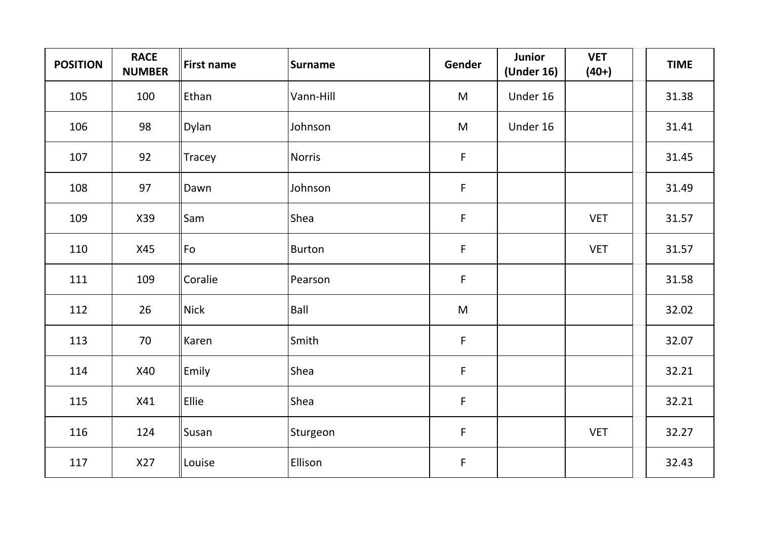| <b>POSITION</b> | <b>RACE</b><br><b>NUMBER</b> | <b>First name</b> | <b>Surname</b> | Gender       | Junior<br>(Under 16) | <b>VET</b><br>$(40+)$ | <b>TIME</b> |
|-----------------|------------------------------|-------------------|----------------|--------------|----------------------|-----------------------|-------------|
| 105             | 100                          | Ethan             | Vann-Hill      | M            | Under 16             |                       | 31.38       |
| 106             | 98                           | Dylan             | Johnson        | M            | Under 16             |                       | 31.41       |
| 107             | 92                           | Tracey            | <b>Norris</b>  | $\mathsf F$  |                      |                       | 31.45       |
| 108             | 97                           | Dawn              | Johnson        | F            |                      |                       | 31.49       |
| 109             | X39                          | Sam               | Shea           | F            |                      | <b>VET</b>            | 31.57       |
| 110             | X45                          | Fo                | <b>Burton</b>  | $\mathsf{F}$ |                      | <b>VET</b>            | 31.57       |
| 111             | 109                          | Coralie           | Pearson        | F            |                      |                       | 31.58       |
| 112             | 26                           | <b>Nick</b>       | Ball           | M            |                      |                       | 32.02       |
| 113             | 70                           | Karen             | Smith          | $\mathsf F$  |                      |                       | 32.07       |
| 114             | X40                          | Emily             | Shea           | F            |                      |                       | 32.21       |
| 115             | X41                          | Ellie             | Shea           | $\mathsf F$  |                      |                       | 32.21       |
| 116             | 124                          | Susan             | Sturgeon       | $\mathsf F$  |                      | <b>VET</b>            | 32.27       |
| 117             | X27                          | Louise            | Ellison        | $\mathsf F$  |                      |                       | 32.43       |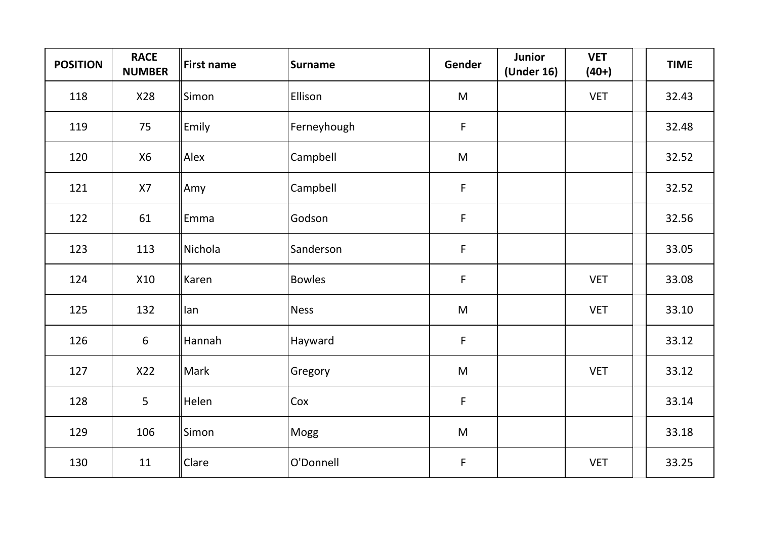| <b>POSITION</b> | <b>RACE</b><br><b>NUMBER</b> | <b>First name</b> | Surname       | Gender      | <b>Junior</b><br>(Under 16) | <b>VET</b><br>$(40+)$ | <b>TIME</b> |
|-----------------|------------------------------|-------------------|---------------|-------------|-----------------------------|-----------------------|-------------|
| 118             | X28                          | Simon             | Ellison       | M           |                             | <b>VET</b>            | 32.43       |
| 119             | 75                           | Emily             | Ferneyhough   | $\mathsf F$ |                             |                       | 32.48       |
| 120             | <b>X6</b>                    | Alex              | Campbell      | ${\sf M}$   |                             |                       | 32.52       |
| 121             | X7                           | Amy               | Campbell      | $\mathsf F$ |                             |                       | 32.52       |
| 122             | 61                           | Emma              | Godson        | $\mathsf F$ |                             |                       | 32.56       |
| 123             | 113                          | Nichola           | Sanderson     | $\mathsf F$ |                             |                       | 33.05       |
| 124             | X10                          | Karen             | <b>Bowles</b> | $\mathsf F$ |                             | <b>VET</b>            | 33.08       |
| 125             | 132                          | lan               | Ness          | M           |                             | <b>VET</b>            | 33.10       |
| 126             | $6\phantom{1}6$              | Hannah            | Hayward       | $\mathsf F$ |                             |                       | 33.12       |
| 127             | X22                          | Mark              | Gregory       | M           |                             | <b>VET</b>            | 33.12       |
| 128             | 5                            | Helen             | Cox           | $\mathsf F$ |                             |                       | 33.14       |
| 129             | 106                          | Simon             | Mogg          | ${\sf M}$   |                             |                       | 33.18       |
| 130             | 11                           | Clare             | O'Donnell     | $\mathsf F$ |                             | <b>VET</b>            | 33.25       |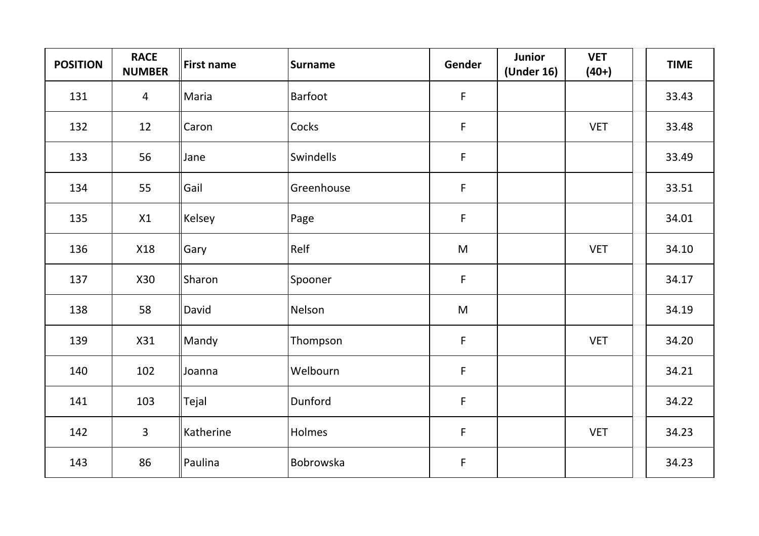| <b>POSITION</b> | <b>RACE</b><br><b>NUMBER</b> | <b>First name</b> | <b>Surname</b> | Gender                                                                                                     | <b>Junior</b><br>(Under 16) | <b>VET</b><br>$(40+)$ | <b>TIME</b> |
|-----------------|------------------------------|-------------------|----------------|------------------------------------------------------------------------------------------------------------|-----------------------------|-----------------------|-------------|
| 131             | $\overline{4}$               | Maria             | <b>Barfoot</b> | $\mathsf{F}$                                                                                               |                             |                       | 33.43       |
| 132             | 12                           | Caron             | Cocks          | $\mathsf F$                                                                                                |                             | <b>VET</b>            | 33.48       |
| 133             | 56                           | Jane              | Swindells      | $\mathsf F$                                                                                                |                             |                       | 33.49       |
| 134             | 55                           | Gail              | Greenhouse     | $\mathsf{F}$                                                                                               |                             |                       | 33.51       |
| 135             | X1                           | Kelsey            | Page           | $\mathsf F$                                                                                                |                             |                       | 34.01       |
| 136             | X18                          | Gary              | Relf           | M                                                                                                          |                             | <b>VET</b>            | 34.10       |
| 137             | X30                          | Sharon            | Spooner        | $\mathsf F$                                                                                                |                             |                       | 34.17       |
| 138             | 58                           | David             | Nelson         | $\mathsf{M}% _{T}=\mathsf{M}_{T}\!\left( a,b\right) ,\ \mathsf{M}_{T}=\mathsf{M}_{T}\!\left( a,b\right) ,$ |                             |                       | 34.19       |
| 139             | X31                          | Mandy             | Thompson       | $\mathsf{F}$                                                                                               |                             | <b>VET</b>            | 34.20       |
| 140             | 102                          | Joanna            | Welbourn       | $\mathsf F$                                                                                                |                             |                       | 34.21       |
| 141             | 103                          | Tejal             | Dunford        | $\mathsf F$                                                                                                |                             |                       | 34.22       |
| 142             | $\overline{3}$               | Katherine         | Holmes         | F                                                                                                          |                             | <b>VET</b>            | 34.23       |
| 143             | 86                           | Paulina           | Bobrowska      | F                                                                                                          |                             |                       | 34.23       |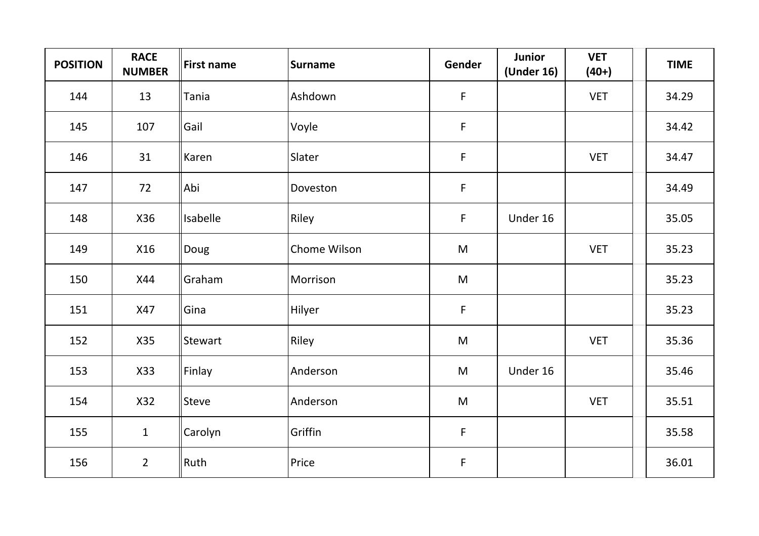| <b>POSITION</b> | <b>RACE</b><br><b>NUMBER</b> | <b>First name</b> | <b>Surname</b> | Gender       | <b>Junior</b><br>(Under 16) | <b>VET</b><br>$(40+)$ | <b>TIME</b> |
|-----------------|------------------------------|-------------------|----------------|--------------|-----------------------------|-----------------------|-------------|
| 144             | 13                           | Tania             | Ashdown        | $\mathsf{F}$ |                             | <b>VET</b>            | 34.29       |
| 145             | 107                          | Gail              | Voyle          | $\mathsf F$  |                             |                       | 34.42       |
| 146             | 31                           | Karen             | Slater         | F            |                             | <b>VET</b>            | 34.47       |
| 147             | 72                           | Abi               | Doveston       | F            |                             |                       | 34.49       |
| 148             | X36                          | Isabelle          | Riley          | $\mathsf{F}$ | Under 16                    |                       | 35.05       |
| 149             | X16                          | Doug              | Chome Wilson   | M            |                             | <b>VET</b>            | 35.23       |
| 150             | X44                          | Graham            | Morrison       | M            |                             |                       | 35.23       |
| 151             | X47                          | Gina              | Hilyer         | F            |                             |                       | 35.23       |
| 152             | X35                          | Stewart           | Riley          | M            |                             | <b>VET</b>            | 35.36       |
| 153             | X33                          | Finlay            | Anderson       | M            | Under 16                    |                       | 35.46       |
| 154             | X32                          | Steve             | Anderson       | M            |                             | <b>VET</b>            | 35.51       |
| 155             | $\mathbf{1}$                 | Carolyn           | Griffin        | $\mathsf F$  |                             |                       | 35.58       |
| 156             | $\overline{2}$               | Ruth              | Price          | $\mathsf F$  |                             |                       | 36.01       |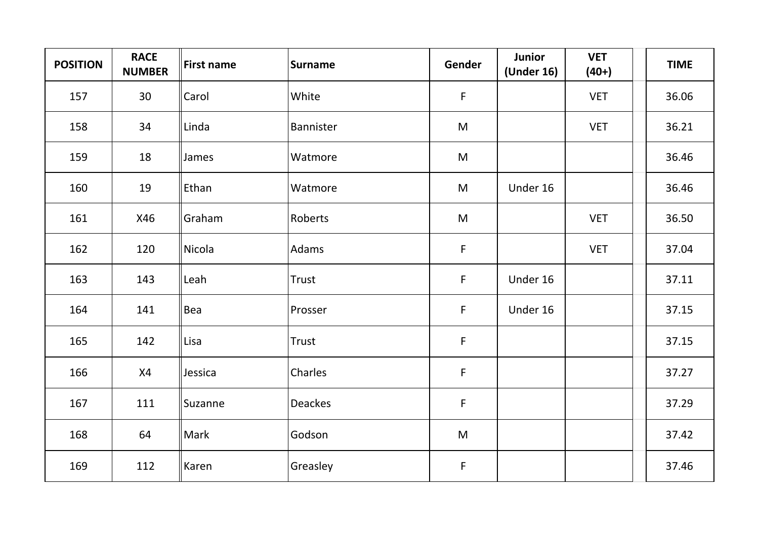| <b>POSITION</b> | <b>RACE</b><br><b>NUMBER</b> | <b>First name</b> | <b>Surname</b> | Gender       | <b>Junior</b><br>(Under 16) | <b>VET</b><br>$(40+)$ | <b>TIME</b> |
|-----------------|------------------------------|-------------------|----------------|--------------|-----------------------------|-----------------------|-------------|
| 157             | 30                           | Carol             | White          | $\mathsf{F}$ |                             | <b>VET</b>            | 36.06       |
| 158             | 34                           | Linda             | Bannister      | M            |                             | <b>VET</b>            | 36.21       |
| 159             | 18                           | James             | Watmore        | ${\sf M}$    |                             |                       | 36.46       |
| 160             | 19                           | Ethan             | Watmore        | M            | Under 16                    |                       | 36.46       |
| 161             | X46                          | Graham            | Roberts        | M            |                             | <b>VET</b>            | 36.50       |
| 162             | 120                          | Nicola            | Adams          | $\mathsf F$  |                             | <b>VET</b>            | 37.04       |
| 163             | 143                          | Leah              | Trust          | $\mathsf F$  | Under 16                    |                       | 37.11       |
| 164             | 141                          | Bea               | Prosser        | F            | Under 16                    |                       | 37.15       |
| 165             | 142                          | Lisa              | Trust          | $\mathsf{F}$ |                             |                       | 37.15       |
| 166             | X4                           | Jessica           | Charles        | $\mathsf F$  |                             |                       | 37.27       |
| 167             | 111                          | Suzanne           | <b>Deackes</b> | F            |                             |                       | 37.29       |
| 168             | 64                           | Mark              | Godson         | ${\sf M}$    |                             |                       | 37.42       |
| 169             | 112                          | Karen             | Greasley       | $\mathsf F$  |                             |                       | 37.46       |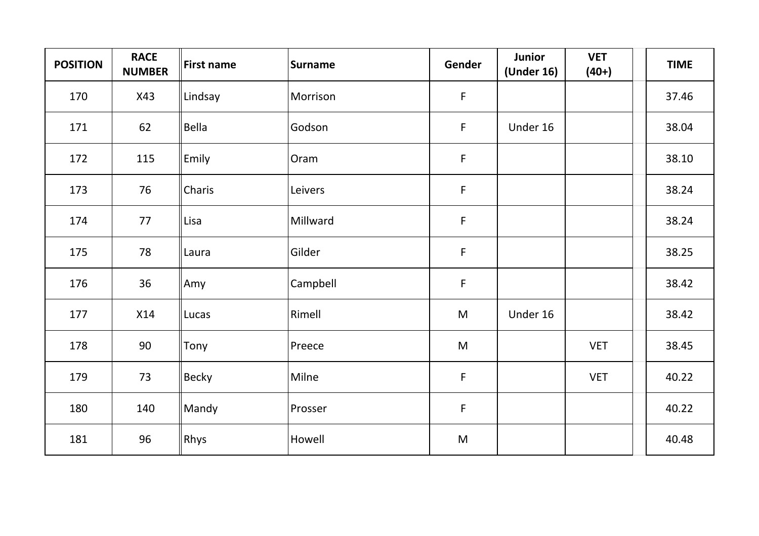| <b>POSITION</b> | <b>RACE</b><br><b>NUMBER</b> | <b>First name</b> | <b>Surname</b> | Gender      | <b>Junior</b><br>(Under 16) | <b>VET</b><br>$(40+)$ | <b>TIME</b> |
|-----------------|------------------------------|-------------------|----------------|-------------|-----------------------------|-----------------------|-------------|
| 170             | X43                          | Lindsay           | Morrison       | $\mathsf F$ |                             |                       | 37.46       |
| 171             | 62                           | Bella             | Godson         | $\mathsf F$ | Under 16                    |                       | 38.04       |
| 172             | 115                          | Emily             | Oram           | $\mathsf F$ |                             |                       | 38.10       |
| 173             | 76                           | Charis            | Leivers        | $\mathsf F$ |                             |                       | 38.24       |
| 174             | 77                           | Lisa              | Millward       | $\mathsf F$ |                             |                       | 38.24       |
| 175             | 78                           | Laura             | Gilder         | F           |                             |                       | 38.25       |
| 176             | 36                           | Amy               | Campbell       | $\mathsf F$ |                             |                       | 38.42       |
| 177             | X14                          | Lucas             | Rimell         | ${\sf M}$   | Under 16                    |                       | 38.42       |
| 178             | 90                           | Tony              | Preece         | ${\sf M}$   |                             | <b>VET</b>            | 38.45       |
| 179             | 73                           | Becky             | Milne          | $\mathsf F$ |                             | <b>VET</b>            | 40.22       |
| 180             | 140                          | Mandy             | Prosser        | $\mathsf F$ |                             |                       | 40.22       |
| 181             | 96                           | Rhys              | Howell         | M           |                             |                       | 40.48       |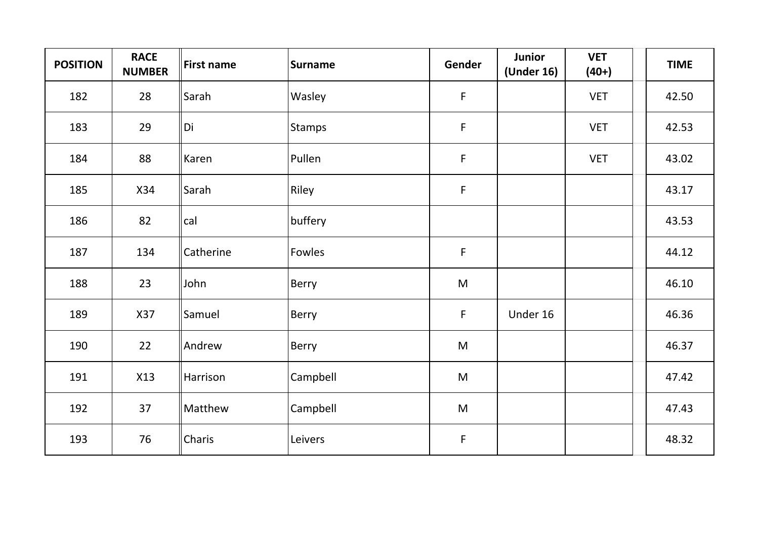| <b>POSITION</b> | <b>RACE</b><br><b>NUMBER</b> | <b>First name</b> | Surname  | Gender      | <b>Junior</b><br>(Under 16) | <b>VET</b><br>$(40+)$ | <b>TIME</b> |
|-----------------|------------------------------|-------------------|----------|-------------|-----------------------------|-----------------------|-------------|
| 182             | 28                           | Sarah             | Wasley   | $\mathsf F$ |                             | <b>VET</b>            | 42.50       |
| 183             | 29                           | Di                | Stamps   | $\mathsf F$ |                             | <b>VET</b>            | 42.53       |
| 184             | 88                           | Karen             | Pullen   | $\mathsf F$ |                             | <b>VET</b>            | 43.02       |
| 185             | X34                          | Sarah             | Riley    | $\mathsf F$ |                             |                       | 43.17       |
| 186             | 82                           | cal               | buffery  |             |                             |                       | 43.53       |
| 187             | 134                          | Catherine         | Fowles   | $\mathsf F$ |                             |                       | 44.12       |
| 188             | 23                           | John              | Berry    | M           |                             |                       | 46.10       |
| 189             | X37                          | Samuel            | Berry    | $\mathsf F$ | Under 16                    |                       | 46.36       |
| 190             | 22                           | Andrew            | Berry    | ${\sf M}$   |                             |                       | 46.37       |
| 191             | X13                          | Harrison          | Campbell | ${\sf M}$   |                             |                       | 47.42       |
| 192             | 37                           | Matthew           | Campbell | M           |                             |                       | 47.43       |
| 193             | 76                           | Charis            | Leivers  | $\mathsf F$ |                             |                       | 48.32       |